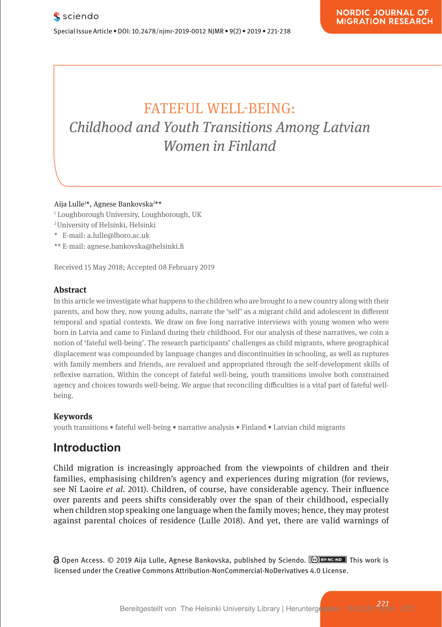# FATEFUL WELL-BEING: **Childhood and Youth Transitions Among Latvian** *Women in Finland Momon* i wonen am neuro

**Pharmacological and Mental Self-transformation in Ethic** 

Aija Lulle1 \*, Agnese Bankovska2 \*\* **Comparison**

- ' Loughborough University, Loughborough, UK<br>Pharmacologische und mentale Selbstveränderung im Selbstveränderung im Selbstveränderung im Selbstveränderung
- 2 University of Helsinki, Helsinki
- enversity of Heisniki, Heisniki<br>\* E-mail: a.lulle@lboro.ac.uk
- \*\* E-mail: agnese.bankovska@helsinki.fi

Received 15 May 2018; Accepted 08 February 2019

#### **Abstract Absorption**  $\mathbf{A}$  is a soon of the action of the aesthetic formation of  $\mathbf{A}$  and its as soon of  $\mathbf{A}$  and its as soon of  $\mathbf{A}$  are soon of  $\mathbf{A}$  and its as soon of  $\mathbf{A}$  and its as soon of  $\mathbf{A}$  and

In this article we investigate what happens to the children who are brought to a new country along with their parents, and how they, now young adults, narrate the 'self' as a migrant child and adolescent in different temporal and spatial contexts. We draw on five long narrative interviews with young women who were born in Latvia and came to Finland during their childhood. For our analysis of these narratives, we coin a born in Latvia and came to rimand during their childhood. For our analysis or these harratives, we com a<br>notion of 'fateful well-being'. The research participants' challenges as child migrants, where geographical displacement was compounded by language changes and discontinuities in schooling, as well as ruptures with family members and friends, are revalued and appropriated through the self-development skills of reflexive narration. Within the concept of fateful well-being, youth transitions involve both constrained agency and choices towards well-being. We argue that reconciling difficulties is a vital part of fateful wellbeing.

#### **Keywords**

Journal xyz 2017; 1 (2): 122–135

**Keywords**<br>youth transitions • fateful well-being • narrative analysis • Finland • Latvian child migrants

# **Introduction** also includes the period between the entry into force and period between the entry into force and

Child migration is increasingly approached from the viewpoints of children and their families, emphasising children's agency and experiences during migration (for reviews, see Ní Laoire *et al*. 2011). Children, of course, have considerable agency. Their influence over parents and peers shifts considerably over the span of their childhood, especially when children stop speaking one language when the family moves; hence, they may protest against parental choices of residence (Lulle 2018). And yet, there are valid warnings of t inigration is increasingly app.

Open Access. © 2019 Aija Lulle, Agnese Bankovska, published by Sciendo. **Ce Braxeno** This work is licensed under the Creative Commons Attribution-NonCommercial-NoDerivatives 4.0 License. licensed under the Creative Commons Attribution-NonCommercial-NoDerivatives 4.0 License.

*<sup>221</sup>* Bereitgestellt von The Helsinki University Library | Heruntergeladen 19.02.20 15:04 UTC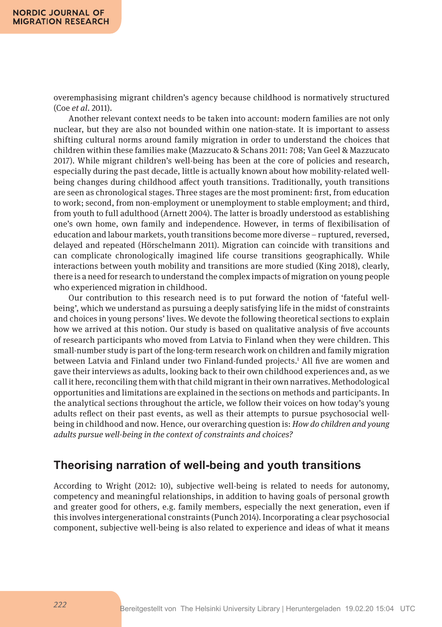overemphasising migrant children's agency because childhood is normatively structured (Coe *et al*. 2011).

Another relevant context needs to be taken into account: modern families are not only nuclear, but they are also not bounded within one nation-state. It is important to assess shifting cultural norms around family migration in order to understand the choices that children within these families make (Mazzucato & Schans 2011: 708; Van Geel & Mazzucato 2017). While migrant children's well-being has been at the core of policies and research, especially during the past decade, little is actually known about how mobility-related wellbeing changes during childhood affect youth transitions. Traditionally, youth transitions are seen as chronological stages. Three stages are the most prominent: first, from education to work; second, from non-employment or unemployment to stable employment; and third, from youth to full adulthood (Arnett 2004). The latter is broadly understood as establishing one's own home, own family and independence. However, in terms of flexibilisation of education and labour markets, youth transitions become more diverse – ruptured, reversed, delayed and repeated (Hörschelmann 2011). Migration can coincide with transitions and can complicate chronologically imagined life course transitions geographically. While interactions between youth mobility and transitions are more studied (King 2018), clearly, there is a need for research to understand the complex impacts of migration on young people who experienced migration in childhood.

Our contribution to this research need is to put forward the notion of 'fateful wellbeing', which we understand as pursuing a deeply satisfying life in the midst of constraints and choices in young persons' lives. We devote the following theoretical sections to explain how we arrived at this notion. Our study is based on qualitative analysis of five accounts of research participants who moved from Latvia to Finland when they were children. This small-number study is part of the long-term research work on children and family migration between Latvia and Finland under two Finland-funded projects.<sup>1</sup> All five are women and gave their interviews as adults, looking back to their own childhood experiences and, as we call it here, reconciling them with that child migrant in their own narratives. Methodological opportunities and limitations are explained in the sections on methods and participants. In the analytical sections throughout the article, we follow their voices on how today's young adults reflect on their past events, as well as their attempts to pursue psychosocial wellbeing in childhood and now. Hence, our overarching question is: *How do children and young adults pursue well-being in the context of constraints and choices?*

### **Theorising narration of well-being and youth transitions**

According to Wright (2012: 10), subjective well-being is related to needs for autonomy, competency and meaningful relationships, in addition to having goals of personal growth and greater good for others, e.g. family members, especially the next generation, even if this involves intergenerational constraints (Punch 2014). Incorporating a clear psychosocial component, subjective well-being is also related to experience and ideas of what it means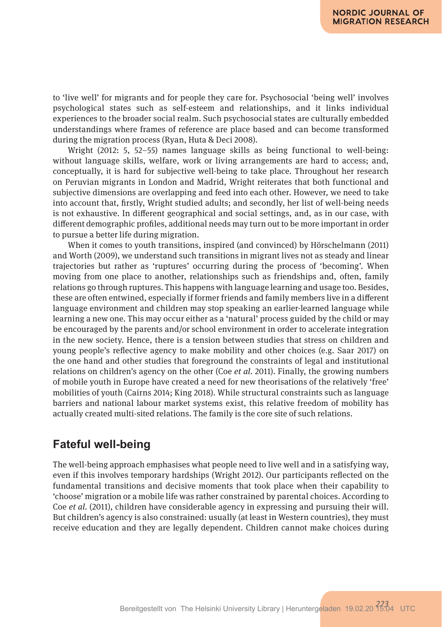to 'live well' for migrants and for people they care for. Psychosocial 'being well' involves psychological states such as self-esteem and relationships, and it links individual experiences to the broader social realm. Such psychosocial states are culturally embedded understandings where frames of reference are place based and can become transformed during the migration process (Ryan, Huta & Deci 2008).

Wright (2012: 5, 52–55) names language skills as being functional to well-being: without language skills, welfare, work or living arrangements are hard to access; and, conceptually, it is hard for subjective well-being to take place. Throughout her research on Peruvian migrants in London and Madrid, Wright reiterates that both functional and subjective dimensions are overlapping and feed into each other. However, we need to take into account that, firstly, Wright studied adults; and secondly, her list of well-being needs is not exhaustive. In different geographical and social settings, and, as in our case, with different demographic profiles, additional needs may turn out to be more important in order to pursue a better life during migration.

When it comes to youth transitions, inspired (and convinced) by Hörschelmann (2011) and Worth (2009), we understand such transitions in migrant lives not as steady and linear trajectories but rather as 'ruptures' occurring during the process of 'becoming'. When moving from one place to another, relationships such as friendships and, often, family relations go through ruptures. This happens with language learning and usage too. Besides, these are often entwined, especially if former friends and family members live in a different language environment and children may stop speaking an earlier-learned language while learning a new one. This may occur either as a 'natural' process guided by the child or may be encouraged by the parents and/or school environment in order to accelerate integration in the new society. Hence, there is a tension between studies that stress on children and young people's reflective agency to make mobility and other choices (e.g. Saar 2017) on the one hand and other studies that foreground the constraints of legal and institutional relations on children's agency on the other (Coe *et al*. 2011). Finally, the growing numbers of mobile youth in Europe have created a need for new theorisations of the relatively 'free' mobilities of youth (Cairns 2014; King 2018). While structural constraints such as language barriers and national labour market systems exist, this relative freedom of mobility has actually created multi-sited relations. The family is the core site of such relations.

### **Fateful well-being**

The well-being approach emphasises what people need to live well and in a satisfying way, even if this involves temporary hardships (Wright 2012). Our participants reflected on the fundamental transitions and decisive moments that took place when their capability to 'choose' migration or a mobile life was rather constrained by parental choices. According to Coe *et al*. (2011), children have considerable agency in expressing and pursuing their will. But children's agency is also constrained: usually (at least in Western countries), they must receive education and they are legally dependent. Children cannot make choices during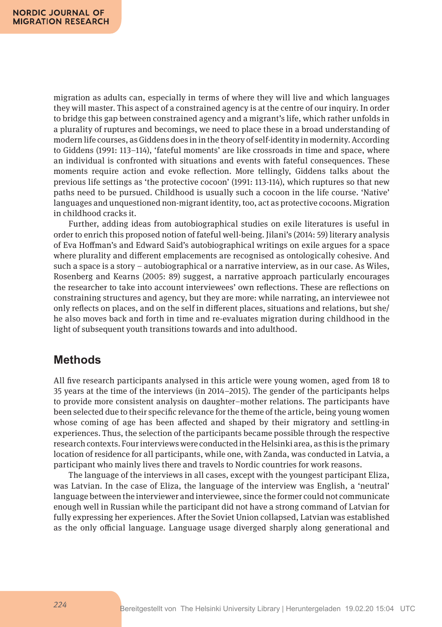migration as adults can, especially in terms of where they will live and which languages they will master. This aspect of a constrained agency is at the centre of our inquiry. In order to bridge this gap between constrained agency and a migrant's life, which rather unfolds in a plurality of ruptures and becomings, we need to place these in a broad understanding of modern life courses, as Giddens does in in the theory of self-identity in modernity. According to Giddens (1991: 113–114), 'fateful moments' are like crossroads in time and space, where an individual is confronted with situations and events with fateful consequences. These moments require action and evoke reflection. More tellingly, Giddens talks about the previous life settings as 'the protective cocoon' (1991: 113-114), which ruptures so that new paths need to be pursued. Childhood is usually such a cocoon in the life course. 'Native' languages and unquestioned non-migrant identity, too, act as protective cocoons. Migration in childhood cracks it.

Further, adding ideas from autobiographical studies on exile literatures is useful in order to enrich this proposed notion of fateful well-being. Jilani's (2014: 59) literary analysis of Eva Hoffman's and Edward Said's autobiographical writings on exile argues for a space where plurality and different emplacements are recognised as ontologically cohesive. And such a space is a story – autobiographical or a narrative interview, as in our case. As Wiles, Rosenberg and Kearns (2005: 89) suggest, a narrative approach particularly encourages the researcher to take into account interviewees' own reflections. These are reflections on constraining structures and agency, but they are more: while narrating, an interviewee not only reflects on places, and on the self in different places, situations and relations, but she/ he also moves back and forth in time and re-evaluates migration during childhood in the light of subsequent youth transitions towards and into adulthood.

### **Methods**

All five research participants analysed in this article were young women, aged from 18 to 35 years at the time of the interviews (in 2014–2015). The gender of the participants helps to provide more consistent analysis on daughter–mother relations. The participants have been selected due to their specific relevance for the theme of the article, being young women whose coming of age has been affected and shaped by their migratory and settling-in experiences. Thus, the selection of the participants became possible through the respective research contexts. Four interviews were conducted in the Helsinki area, as this is the primary location of residence for all participants, while one, with Zanda, was conducted in Latvia, a participant who mainly lives there and travels to Nordic countries for work reasons.

The language of the interviews in all cases, except with the youngest participant Eliza, was Latvian. In the case of Eliza, the language of the interview was English, a 'neutral' language between the interviewer and interviewee, since the former could not communicate enough well in Russian while the participant did not have a strong command of Latvian for fully expressing her experiences. After the Soviet Union collapsed, Latvian was established as the only official language. Language usage diverged sharply along generational and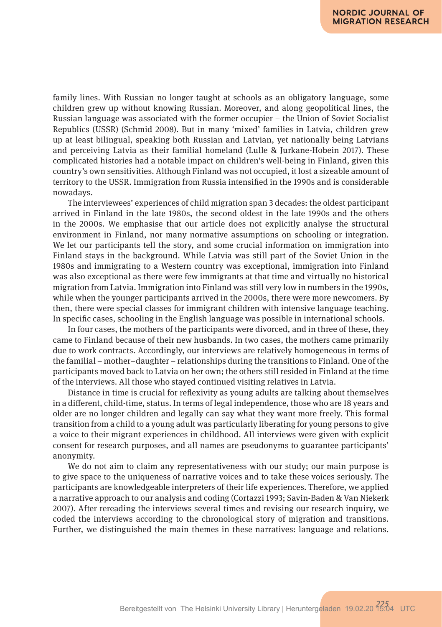family lines. With Russian no longer taught at schools as an obligatory language, some children grew up without knowing Russian. Moreover, and along geopolitical lines, the Russian language was associated with the former occupier – the Union of Soviet Socialist Republics (USSR) (Schmid 2008). But in many 'mixed' families in Latvia, children grew up at least bilingual, speaking both Russian and Latvian, yet nationally being Latvians and perceiving Latvia as their familial homeland (Lulle & Jurkane-Hobein 2017). These complicated histories had a notable impact on children's well-being in Finland, given this country's own sensitivities. Although Finland was not occupied, it lost a sizeable amount of territory to the USSR. Immigration from Russia intensified in the 1990s and is considerable nowadays.

The interviewees' experiences of child migration span 3 decades: the oldest participant arrived in Finland in the late 1980s, the second oldest in the late 1990s and the others in the 2000s. We emphasise that our article does not explicitly analyse the structural environment in Finland, nor many normative assumptions on schooling or integration. We let our participants tell the story, and some crucial information on immigration into Finland stays in the background. While Latvia was still part of the Soviet Union in the 1980s and immigrating to a Western country was exceptional, immigration into Finland was also exceptional as there were few immigrants at that time and virtually no historical migration from Latvia. Immigration into Finland was still very low in numbers in the 1990s, while when the younger participants arrived in the 2000s, there were more newcomers. By then, there were special classes for immigrant children with intensive language teaching. In specific cases, schooling in the English language was possible in international schools.

In four cases, the mothers of the participants were divorced, and in three of these, they came to Finland because of their new husbands. In two cases, the mothers came primarily due to work contracts. Accordingly, our interviews are relatively homogeneous in terms of the familial – mother–daughter – relationships during the transitions to Finland. One of the participants moved back to Latvia on her own; the others still resided in Finland at the time of the interviews. All those who stayed continued visiting relatives in Latvia.

Distance in time is crucial for reflexivity as young adults are talking about themselves in a different, child-time, status. In terms of legal independence, those who are 18 years and older are no longer children and legally can say what they want more freely. This formal transition from a child to a young adult was particularly liberating for young persons to give a voice to their migrant experiences in childhood. All interviews were given with explicit consent for research purposes, and all names are pseudonyms to guarantee participants' anonymity.

We do not aim to claim any representativeness with our study; our main purpose is to give space to the uniqueness of narrative voices and to take these voices seriously. The participants are knowledgeable interpreters of their life experiences. Therefore, we applied a narrative approach to our analysis and coding (Cortazzi 1993; Savin-Baden & Van Niekerk 2007). After rereading the interviews several times and revising our research inquiry, we coded the interviews according to the chronological story of migration and transitions. Further, we distinguished the main themes in these narratives: language and relations.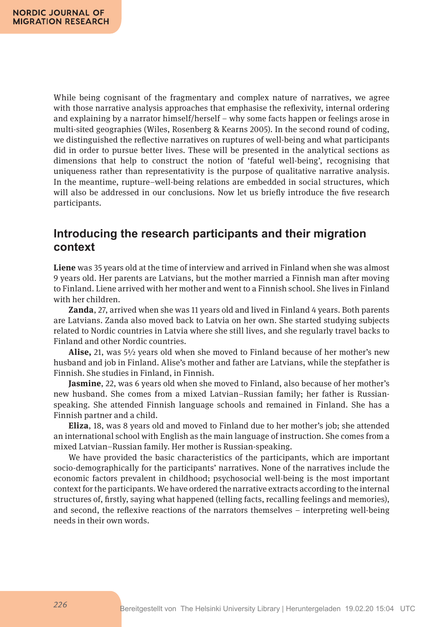While being cognisant of the fragmentary and complex nature of narratives, we agree with those narrative analysis approaches that emphasise the reflexivity, internal ordering and explaining by a narrator himself/herself – why some facts happen or feelings arose in multi-sited geographies (Wiles, Rosenberg & Kearns 2005). In the second round of coding, we distinguished the reflective narratives on ruptures of well-being and what participants did in order to pursue better lives. These will be presented in the analytical sections as dimensions that help to construct the notion of 'fateful well-being', recognising that uniqueness rather than representativity is the purpose of qualitative narrative analysis. In the meantime, rupture–well-being relations are embedded in social structures, which will also be addressed in our conclusions. Now let us briefly introduce the five research participants.

### **Introducing the research participants and their migration context**

**Liene** was 35 years old at the time of interview and arrived in Finland when she was almost 9 years old. Her parents are Latvians, but the mother married a Finnish man after moving to Finland. Liene arrived with her mother and went to a Finnish school. She lives in Finland with her children.

**Zanda**, 27, arrived when she was 11 years old and lived in Finland 4 years. Both parents are Latvians. Zanda also moved back to Latvia on her own. She started studying subjects related to Nordic countries in Latvia where she still lives, and she regularly travel backs to Finland and other Nordic countries.

**Alise,** 21, was 5½ years old when she moved to Finland because of her mother's new husband and job in Finland. Alise's mother and father are Latvians, while the stepfather is Finnish. She studies in Finland, in Finnish.

**Jasmine**, 22, was 6 years old when she moved to Finland, also because of her mother's new husband. She comes from a mixed Latvian–Russian family; her father is Russianspeaking. She attended Finnish language schools and remained in Finland. She has a Finnish partner and a child.

**Eliza**, 18, was 8 years old and moved to Finland due to her mother's job; she attended an international school with English as the main language of instruction. She comes from a mixed Latvian–Russian family. Her mother is Russian-speaking.

We have provided the basic characteristics of the participants, which are important socio-demographically for the participants' narratives. None of the narratives include the economic factors prevalent in childhood; psychosocial well-being is the most important context for the participants. We have ordered the narrative extracts according to the internal structures of, firstly, saying what happened (telling facts, recalling feelings and memories), and second, the reflexive reactions of the narrators themselves – interpreting well-being needs in their own words.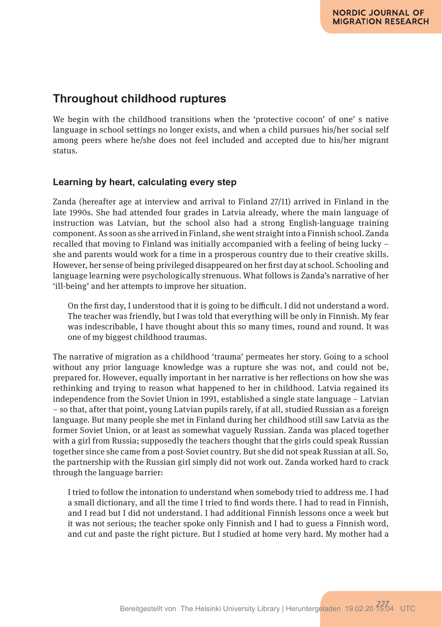### **Throughout childhood ruptures**

We begin with the childhood transitions when the 'protective cocoon' of one' s native language in school settings no longer exists, and when a child pursues his/her social self among peers where he/she does not feel included and accepted due to his/her migrant status.

### **Learning by heart, calculating every step**

Zanda (hereafter age at interview and arrival to Finland 27/11) arrived in Finland in the late 1990s. She had attended four grades in Latvia already, where the main language of instruction was Latvian, but the school also had a strong English-language training component. As soon as she arrived in Finland, she went straight into a Finnish school. Zanda recalled that moving to Finland was initially accompanied with a feeling of being lucky – she and parents would work for a time in a prosperous country due to their creative skills. However, her sense of being privileged disappeared on her first day at school. Schooling and language learning were psychologically strenuous. What follows is Zanda's narrative of her 'ill-being' and her attempts to improve her situation.

On the first day, I understood that it is going to be difficult. I did not understand a word. The teacher was friendly, but I was told that everything will be only in Finnish. My fear was indescribable, I have thought about this so many times, round and round. It was one of my biggest childhood traumas.

The narrative of migration as a childhood 'trauma' permeates her story. Going to a school without any prior language knowledge was a rupture she was not, and could not be, prepared for. However, equally important in her narrative is her reflections on how she was rethinking and trying to reason what happened to her in childhood. Latvia regained its independence from the Soviet Union in 1991, established a single state language – Latvian – so that, after that point, young Latvian pupils rarely, if at all, studied Russian as a foreign language. But many people she met in Finland during her childhood still saw Latvia as the former Soviet Union, or at least as somewhat vaguely Russian. Zanda was placed together with a girl from Russia; supposedly the teachers thought that the girls could speak Russian together since she came from a post-Soviet country. But she did not speak Russian at all. So, the partnership with the Russian girl simply did not work out. Zanda worked hard to crack through the language barrier:

I tried to follow the intonation to understand when somebody tried to address me. I had a small dictionary, and all the time I tried to find words there. I had to read in Finnish, and I read but I did not understand. I had additional Finnish lessons once a week but it was not serious; the teacher spoke only Finnish and I had to guess a Finnish word, and cut and paste the right picture. But I studied at home very hard. My mother had a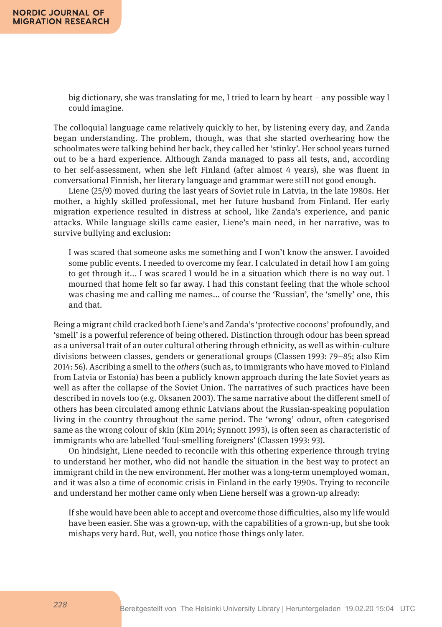big dictionary, she was translating for me, I tried to learn by heart – any possible way I could imagine.

The colloquial language came relatively quickly to her, by listening every day, and Zanda began understanding. The problem, though, was that she started overhearing how the schoolmates were talking behind her back, they called her 'stinky'. Her school years turned out to be a hard experience. Although Zanda managed to pass all tests, and, according to her self-assessment, when she left Finland (after almost 4 years), she was fluent in conversational Finnish, her literary language and grammar were still not good enough.

Liene (25/9) moved during the last years of Soviet rule in Latvia, in the late 1980s. Her mother, a highly skilled professional, met her future husband from Finland. Her early migration experience resulted in distress at school, like Zanda's experience, and panic attacks. While language skills came easier, Liene's main need, in her narrative, was to survive bullying and exclusion:

I was scared that someone asks me something and I won't know the answer. I avoided some public events. I needed to overcome my fear. I calculated in detail how I am going to get through it... I was scared I would be in a situation which there is no way out. I mourned that home felt so far away. I had this constant feeling that the whole school was chasing me and calling me names... of course the 'Russian', the 'smelly' one, this and that.

Being a migrant child cracked both Liene's and Zanda's 'protective cocoons' profoundly, and 'smell' is a powerful reference of being othered. Distinction through odour has been spread as a universal trait of an outer cultural othering through ethnicity, as well as within-culture divisions between classes, genders or generational groups (Classen 1993: 79–85; also Kim 2014: 56). Ascribing a smell to the *others* (such as, to immigrants who have moved to Finland from Latvia or Estonia) has been a publicly known approach during the late Soviet years as well as after the collapse of the Soviet Union. The narratives of such practices have been described in novels too (e.g. Oksanen 2003). The same narrative about the different smell of others has been circulated among ethnic Latvians about the Russian-speaking population living in the country throughout the same period. The 'wrong' odour, often categorised same as the wrong colour of skin (Kim 2014; Synnott 1993), is often seen as characteristic of immigrants who are labelled 'foul-smelling foreigners' (Classen 1993: 93).

On hindsight, Liene needed to reconcile with this othering experience through trying to understand her mother, who did not handle the situation in the best way to protect an immigrant child in the new environment. Her mother was a long-term unemployed woman, and it was also a time of economic crisis in Finland in the early 1990s. Trying to reconcile and understand her mother came only when Liene herself was a grown-up already:

If she would have been able to accept and overcome those difficulties, also my life would have been easier. She was a grown-up, with the capabilities of a grown-up, but she took mishaps very hard. But, well, you notice those things only later.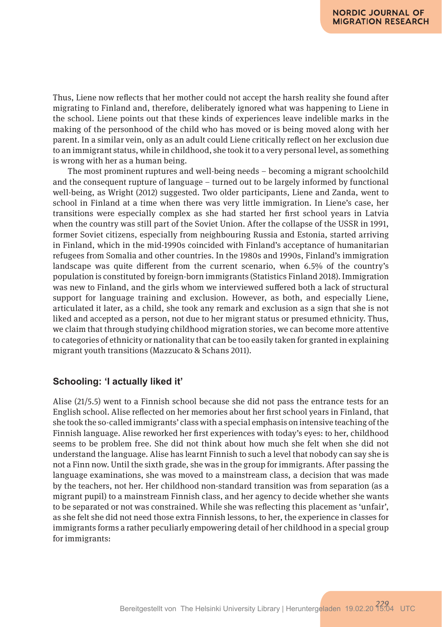Thus, Liene now reflects that her mother could not accept the harsh reality she found after migrating to Finland and, therefore, deliberately ignored what was happening to Liene in the school. Liene points out that these kinds of experiences leave indelible marks in the making of the personhood of the child who has moved or is being moved along with her parent. In a similar vein, only as an adult could Liene critically reflect on her exclusion due to an immigrant status, while in childhood, she took it to a very personal level, as something is wrong with her as a human being.

The most prominent ruptures and well-being needs – becoming a migrant schoolchild and the consequent rupture of language – turned out to be largely informed by functional well-being, as Wright (2012) suggested. Two older participants, Liene and Zanda, went to school in Finland at a time when there was very little immigration. In Liene's case, her transitions were especially complex as she had started her first school years in Latvia when the country was still part of the Soviet Union. After the collapse of the USSR in 1991, former Soviet citizens, especially from neighbouring Russia and Estonia, started arriving in Finland, which in the mid-1990s coincided with Finland's acceptance of humanitarian refugees from Somalia and other countries. In the 1980s and 1990s, Finland's immigration landscape was quite different from the current scenario, when 6.5% of the country's population is constituted by foreign-born immigrants (Statistics Finland 2018). Immigration was new to Finland, and the girls whom we interviewed suffered both a lack of structural support for language training and exclusion. However, as both, and especially Liene, articulated it later, as a child, she took any remark and exclusion as a sign that she is not liked and accepted as a person, not due to her migrant status or presumed ethnicity. Thus, we claim that through studying childhood migration stories, we can become more attentive to categories of ethnicity or nationality that can be too easily taken for granted in explaining migrant youth transitions (Mazzucato & Schans 2011).

### **Schooling: 'I actually liked it'**

Alise (21/5.5) went to a Finnish school because she did not pass the entrance tests for an English school. Alise reflected on her memories about her first school years in Finland, that she took the so-called immigrants' class with a special emphasis on intensive teaching of the Finnish language. Alise reworked her first experiences with today's eyes: to her, childhood seems to be problem free. She did not think about how much she felt when she did not understand the language. Alise has learnt Finnish to such a level that nobody can say she is not a Finn now. Until the sixth grade, she was in the group for immigrants. After passing the language examinations, she was moved to a mainstream class, a decision that was made by the teachers, not her. Her childhood non-standard transition was from separation (as a migrant pupil) to a mainstream Finnish class, and her agency to decide whether she wants to be separated or not was constrained. While she was reflecting this placement as 'unfair', as she felt she did not need those extra Finnish lessons, to her, the experience in classes for immigrants forms a rather peculiarly empowering detail of her childhood in a special group for immigrants: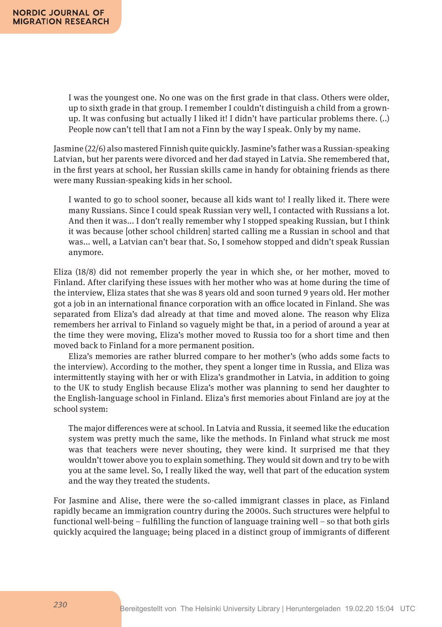I was the youngest one. No one was on the first grade in that class. Others were older, up to sixth grade in that group. I remember I couldn't distinguish a child from a grownup. It was confusing but actually I liked it! I didn't have particular problems there. (..) People now can't tell that I am not a Finn by the way I speak. Only by my name.

Jasmine (22/6) also mastered Finnish quite quickly. Jasmine's father was a Russian-speaking Latvian, but her parents were divorced and her dad stayed in Latvia. She remembered that, in the first years at school, her Russian skills came in handy for obtaining friends as there were many Russian-speaking kids in her school.

I wanted to go to school sooner, because all kids want to! I really liked it. There were many Russians. Since I could speak Russian very well, I contacted with Russians a lot. And then it was... I don't really remember why I stopped speaking Russian, but I think it was because [other school children] started calling me a Russian in school and that was... well, a Latvian can't bear that. So, I somehow stopped and didn't speak Russian anymore.

Eliza (18/8) did not remember properly the year in which she, or her mother, moved to Finland. After clarifying these issues with her mother who was at home during the time of the interview, Eliza states that she was 8 years old and soon turned 9 years old. Her mother got a job in an international finance corporation with an office located in Finland. She was separated from Eliza's dad already at that time and moved alone. The reason why Eliza remembers her arrival to Finland so vaguely might be that, in a period of around a year at the time they were moving, Eliza's mother moved to Russia too for a short time and then moved back to Finland for a more permanent position.

Eliza's memories are rather blurred compare to her mother's (who adds some facts to the interview). According to the mother, they spent a longer time in Russia, and Eliza was intermittently staying with her or with Eliza's grandmother in Latvia, in addition to going to the UK to study English because Eliza's mother was planning to send her daughter to the English-language school in Finland. Eliza's first memories about Finland are joy at the school system:

The major differences were at school. In Latvia and Russia, it seemed like the education system was pretty much the same, like the methods. In Finland what struck me most was that teachers were never shouting, they were kind. It surprised me that they wouldn't tower above you to explain something. They would sit down and try to be with you at the same level. So, I really liked the way, well that part of the education system and the way they treated the students.

For Jasmine and Alise, there were the so-called immigrant classes in place, as Finland rapidly became an immigration country during the 2000s. Such structures were helpful to functional well-being – fulfilling the function of language training well – so that both girls quickly acquired the language; being placed in a distinct group of immigrants of different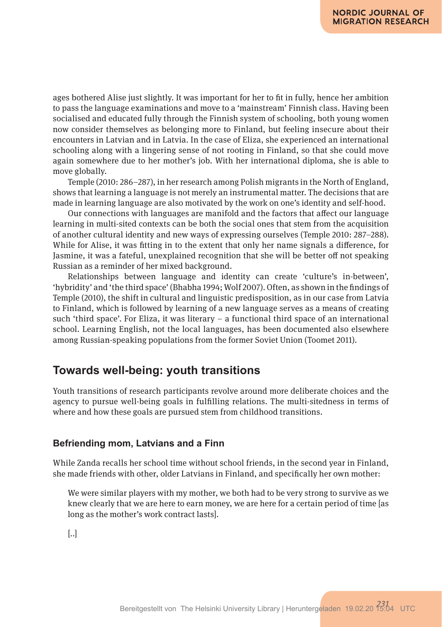ages bothered Alise just slightly. It was important for her to fit in fully, hence her ambition to pass the language examinations and move to a 'mainstream' Finnish class. Having been socialised and educated fully through the Finnish system of schooling, both young women now consider themselves as belonging more to Finland, but feeling insecure about their encounters in Latvian and in Latvia. In the case of Eliza, she experienced an international schooling along with a lingering sense of not rooting in Finland, so that she could move again somewhere due to her mother's job. With her international diploma, she is able to move globally.

Temple (2010: 286–287), in her research among Polish migrants in the North of England, shows that learning a language is not merely an instrumental matter. The decisions that are made in learning language are also motivated by the work on one's identity and self-hood.

Our connections with languages are manifold and the factors that affect our language learning in multi-sited contexts can be both the social ones that stem from the acquisition of another cultural identity and new ways of expressing ourselves (Temple 2010: 287–288). While for Alise, it was fitting in to the extent that only her name signals a difference, for Jasmine, it was a fateful, unexplained recognition that she will be better off not speaking Russian as a reminder of her mixed background.

Relationships between language and identity can create 'culture's in-between', 'hybridity' and 'the third space' (Bhabha 1994; Wolf 2007). Often, as shown in the findings of Temple (2010), the shift in cultural and linguistic predisposition, as in our case from Latvia to Finland, which is followed by learning of a new language serves as a means of creating such 'third space'. For Eliza, it was literary – a functional third space of an international school. Learning English, not the local languages, has been documented also elsewhere among Russian-speaking populations from the former Soviet Union (Toomet 2011).

### **Towards well-being: youth transitions**

Youth transitions of research participants revolve around more deliberate choices and the agency to pursue well-being goals in fulfilling relations. The multi-sitedness in terms of where and how these goals are pursued stem from childhood transitions.

#### **Befriending mom, Latvians and a Finn**

While Zanda recalls her school time without school friends, in the second year in Finland, she made friends with other, older Latvians in Finland, and specifically her own mother:

We were similar players with my mother, we both had to be very strong to survive as we knew clearly that we are here to earn money, we are here for a certain period of time [as long as the mother's work contract lasts].

[..]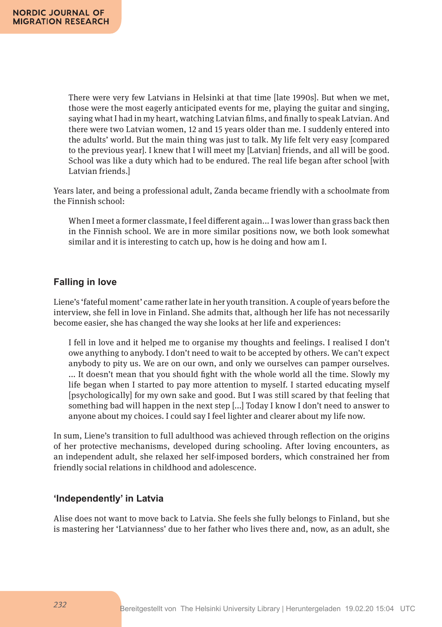There were very few Latvians in Helsinki at that time [late 1990s]. But when we met, those were the most eagerly anticipated events for me, playing the guitar and singing, saying what I had in my heart, watching Latvian films, and finally to speak Latvian. And there were two Latvian women, 12 and 15 years older than me. I suddenly entered into the adults' world. But the main thing was just to talk. My life felt very easy [compared to the previous year]. I knew that I will meet my [Latvian] friends, and all will be good. School was like a duty which had to be endured. The real life began after school [with Latvian friends.]

Years later, and being a professional adult, Zanda became friendly with a schoolmate from the Finnish school:

When I meet a former classmate, I feel different again... I was lower than grass back then in the Finnish school. We are in more similar positions now, we both look somewhat similar and it is interesting to catch up, how is he doing and how am I.

### **Falling in love**

Liene's 'fateful moment' came rather late in her youth transition. A couple of years before the interview, she fell in love in Finland. She admits that, although her life has not necessarily become easier, she has changed the way she looks at her life and experiences:

I fell in love and it helped me to organise my thoughts and feelings. I realised I don't owe anything to anybody. I don't need to wait to be accepted by others. We can't expect anybody to pity us. We are on our own, and only we ourselves can pamper ourselves. ... It doesn't mean that you should fight with the whole world all the time. Slowly my life began when I started to pay more attention to myself. I started educating myself [psychologically] for my own sake and good. But I was still scared by that feeling that something bad will happen in the next step [...] Today I know I don't need to answer to anyone about my choices. I could say I feel lighter and clearer about my life now.

In sum, Liene's transition to full adulthood was achieved through reflection on the origins of her protective mechanisms, developed during schooling. After loving encounters, as an independent adult, she relaxed her self-imposed borders, which constrained her from friendly social relations in childhood and adolescence.

#### **'Independently' in Latvia**

Alise does not want to move back to Latvia. She feels she fully belongs to Finland, but she is mastering her 'Latvianness' due to her father who lives there and, now, as an adult, she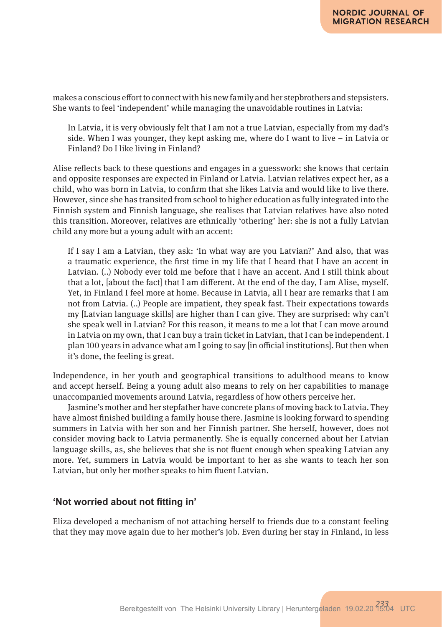makes a conscious effort to connect with his new family and her stepbrothers and stepsisters. She wants to feel 'independent' while managing the unavoidable routines in Latvia:

In Latvia, it is very obviously felt that I am not a true Latvian, especially from my dad's side. When I was younger, they kept asking me, where do I want to live – in Latvia or Finland? Do I like living in Finland?

Alise reflects back to these questions and engages in a guesswork: she knows that certain and opposite responses are expected in Finland or Latvia. Latvian relatives expect her, as a child, who was born in Latvia, to confirm that she likes Latvia and would like to live there. However, since she has transited from school to higher education as fully integrated into the Finnish system and Finnish language, she realises that Latvian relatives have also noted this transition. Moreover, relatives are ethnically 'othering' her: she is not a fully Latvian child any more but a young adult with an accent:

If I say I am a Latvian, they ask: 'In what way are you Latvian?' And also, that was a traumatic experience, the first time in my life that I heard that I have an accent in Latvian. (..) Nobody ever told me before that I have an accent. And I still think about that a lot, [about the fact] that I am different. At the end of the day, I am Alise, myself. Yet, in Finland I feel more at home. Because in Latvia, all I hear are remarks that I am not from Latvia. (..) People are impatient, they speak fast. Their expectations towards my [Latvian language skills] are higher than I can give. They are surprised: why can't she speak well in Latvian? For this reason, it means to me a lot that I can move around in Latvia on my own, that I can buy a train ticket in Latvian, that I can be independent. I plan 100 years in advance what am I going to say [in official institutions]. But then when it's done, the feeling is great.

Independence, in her youth and geographical transitions to adulthood means to know and accept herself. Being a young adult also means to rely on her capabilities to manage unaccompanied movements around Latvia, regardless of how others perceive her.

Jasmine's mother and her stepfather have concrete plans of moving back to Latvia. They have almost finished building a family house there. Jasmine is looking forward to spending summers in Latvia with her son and her Finnish partner. She herself, however, does not consider moving back to Latvia permanently. She is equally concerned about her Latvian language skills, as, she believes that she is not fluent enough when speaking Latvian any more. Yet, summers in Latvia would be important to her as she wants to teach her son Latvian, but only her mother speaks to him fluent Latvian.

#### **'Not worried about not fitting in'**

Eliza developed a mechanism of not attaching herself to friends due to a constant feeling that they may move again due to her mother's job. Even during her stay in Finland, in less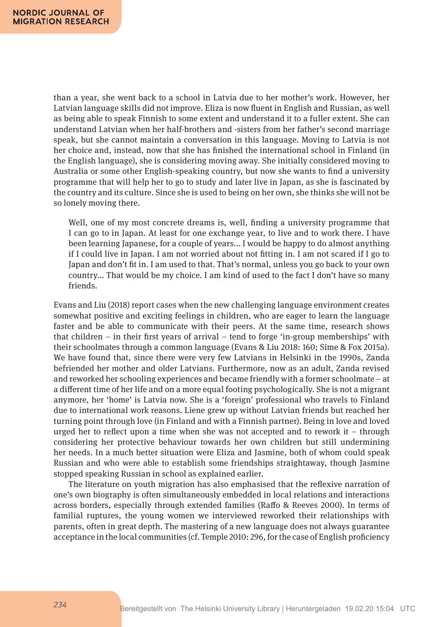than a year, she went back to a school in Latvia due to her mother's work. However, her Latvian language skills did not improve. Eliza is now fluent in English and Russian, as well as being able to speak Finnish to some extent and understand it to a fuller extent. She can understand Latvian when her half-brothers and -sisters from her father's second marriage speak, but she cannot maintain a conversation in this language. Moving to Latvia is not her choice and, instead, now that she has finished the international school in Finland (in the English language), she is considering moving away. She initially considered moving to Australia or some other English-speaking country, but now she wants to find a university programme that will help her to go to study and later live in Japan, as she is fascinated by the country and its culture. Since she is used to being on her own, she thinks she will not be so lonely moving there.

Well, one of my most concrete dreams is, well, finding a university programme that I can go to in Japan. At least for one exchange year, to live and to work there. I have been learning Japanese, for a couple of years... I would be happy to do almost anything if I could live in Japan. I am not worried about not fitting in. I am not scared if I go to Japan and don't fit in. I am used to that. That's normal, unless you go back to your own country... That would be my choice. I am kind of used to the fact I don't have so many friends.

Evans and Liu (2018) report cases when the new challenging language environment creates somewhat positive and exciting feelings in children, who are eager to learn the language faster and be able to communicate with their peers. At the same time, research shows that children – in their first years of arrival – tend to forge 'in-group memberships' with their schoolmates through a common language (Evans & Liu 2018: 160; Sime & Fox 2015a). We have found that, since there were very few Latvians in Helsinki in the 1990s, Zanda befriended her mother and older Latvians. Furthermore, now as an adult, Zanda revised and reworked her schooling experiences and became friendly with a former schoolmate – at a different time of her life and on a more equal footing psychologically. She is not a migrant anymore, her 'home' is Latvia now. She is a 'foreign' professional who travels to Finland due to international work reasons. Liene grew up without Latvian friends but reached her turning point through love (in Finland and with a Finnish partner). Being in love and loved urged her to reflect upon a time when she was not accepted and to rework it – through considering her protective behaviour towards her own children but still undermining her needs. In a much better situation were Eliza and Jasmine, both of whom could speak Russian and who were able to establish some friendships straightaway, though Jasmine stopped speaking Russian in school as explained earlier.

The literature on youth migration has also emphasised that the reflexive narration of one's own biography is often simultaneously embedded in local relations and interactions across borders, especially through extended families (Raffo & Reeves 2000). In terms of familial ruptures, the young women we interviewed reworked their relationships with parents, often in great depth. The mastering of a new language does not always guarantee acceptance in the local communities (cf. Temple 2010: 296, for the case of English proficiency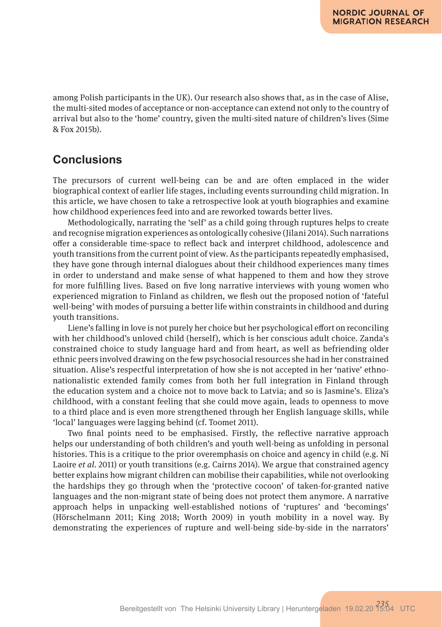among Polish participants in the UK). Our research also shows that, as in the case of Alise, the multi-sited modes of acceptance or non-acceptance can extend not only to the country of arrival but also to the 'home' country, given the multi-sited nature of children's lives (Sime & Fox 2015b).

### **Conclusions**

The precursors of current well-being can be and are often emplaced in the wider biographical context of earlier life stages, including events surrounding child migration. In this article, we have chosen to take a retrospective look at youth biographies and examine how childhood experiences feed into and are reworked towards better lives.

Methodologically, narrating the 'self' as a child going through ruptures helps to create and recognise migration experiences as ontologically cohesive (Jilani 2014). Such narrations offer a considerable time-space to reflect back and interpret childhood, adolescence and youth transitions from the current point of view. As the participants repeatedly emphasised, they have gone through internal dialogues about their childhood experiences many times in order to understand and make sense of what happened to them and how they strove for more fulfilling lives. Based on five long narrative interviews with young women who experienced migration to Finland as children, we flesh out the proposed notion of 'fateful well-being' with modes of pursuing a better life within constraints in childhood and during youth transitions.

Liene's falling in love is not purely her choice but her psychological effort on reconciling with her childhood's unloved child (herself), which is her conscious adult choice. Zanda's constrained choice to study language hard and from heart, as well as befriending older ethnic peers involved drawing on the few psychosocial resources she had in her constrained situation. Alise's respectful interpretation of how she is not accepted in her 'native' ethnonationalistic extended family comes from both her full integration in Finland through the education system and a choice not to move back to Latvia; and so is Jasmine's. Eliza's childhood, with a constant feeling that she could move again, leads to openness to move to a third place and is even more strengthened through her English language skills, while 'local' languages were lagging behind (cf. Toomet 2011).

Two final points need to be emphasised. Firstly, the reflective narrative approach helps our understanding of both children's and youth well-being as unfolding in personal histories. This is a critique to the prior overemphasis on choice and agency in child (e.g. Ní Laoire *et al.* 2011) or youth transitions (e.g. Cairns 2014). We argue that constrained agency better explains how migrant children can mobilise their capabilities, while not overlooking the hardships they go through when the 'protective cocoon' of taken-for-granted native languages and the non-migrant state of being does not protect them anymore. A narrative approach helps in unpacking well-established notions of 'ruptures' and 'becomings' (Hörschelmann 2011; King 2018; Worth 2009) in youth mobility in a novel way. By demonstrating the experiences of rupture and well-being side-by-side in the narrators'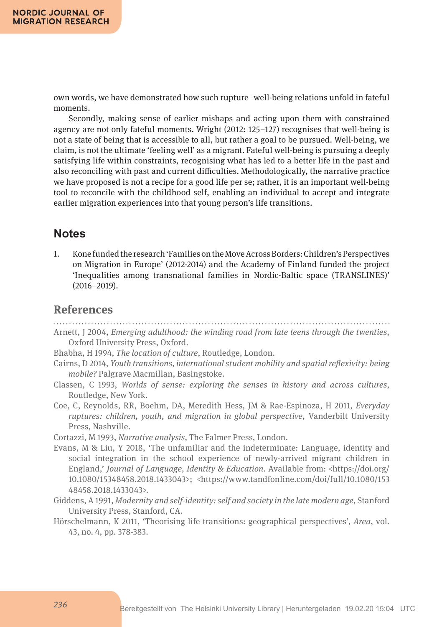own words, we have demonstrated how such rupture–well-being relations unfold in fateful moments.

Secondly, making sense of earlier mishaps and acting upon them with constrained agency are not only fateful moments. Wright (2012: 125–127) recognises that well-being is not a state of being that is accessible to all, but rather a goal to be pursued. Well-being, we claim, is not the ultimate 'feeling well' as a migrant. Fateful well-being is pursuing a deeply satisfying life within constraints, recognising what has led to a better life in the past and also reconciling with past and current difficulties. Methodologically, the narrative practice we have proposed is not a recipe for a good life per se; rather, it is an important well-being tool to reconcile with the childhood self, enabling an individual to accept and integrate earlier migration experiences into that young person's life transitions.

### **Notes**

1. Kone funded the research 'Families on the Move Across Borders: Children's Perspectives on Migration in Europe' (2012-2014) and the Academy of Finland funded the project 'Inequalities among transnational families in Nordic-Baltic space (TRANSLINES)' (2016–2019).

### **References**

- Arnett, J 2004, *Emerging adulthood: the winding road from late teens through the twenties*, Oxford University Press, Oxford.
- Bhabha, H 1994, *The location of culture*, Routledge, London.
- Cairns, D 2014, *Youth transitions, international student mobility and spatial reflexivity: being mobile?* Palgrave Macmillan, Basingstoke.
- Classen, C 1993, *Worlds of sense: exploring the senses in history and across cultures*, Routledge, New York.
- Coe, C, Reynolds, RR, Boehm, DA, Meredith Hess, JM & Rae-Espinoza, H 2011, *Everyday ruptures: children, youth, and migration in global perspective*, Vanderbilt University Press, Nashville.

Cortazzi, M 1993, *Narrative analysis,* The Falmer Press, London.

- Evans, M & Liu, Y 2018, 'The unfamiliar and the indeterminate: Language, identity and social integration in the school experience of newly-arrived migrant children in England,' *Journal of Language, Identity & Education*. Available from: <https://doi.org/ 10.1080/15348458.2018.1433043>; <https://www.tandfonline.com/doi/full/10.1080/153 48458.2018.1433043>.
- Giddens, A 1991, *Modernity and self-identity: self and society in the late modern age*, Stanford University Press, Stanford, CA.
- Hörschelmann, K 2011, 'Theorising life transitions: geographical perspectives', *Area*, vol. 43, no. 4, pp. 378-383.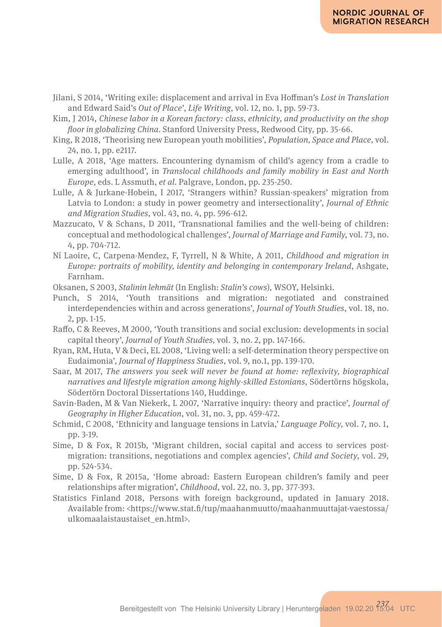- Jilani, S 2014, 'Writing exile: displacement and arrival in Eva Hoffman's *Lost in Translation* and Edward Said's *Out of Place*', *Life Writing*, vol. 12, no. 1, pp. 59-73.
- Kim, J 2014, *Chinese labor in a Korean factory: class, ethnicity, and productivity on the shop floor in globalizing China*. Stanford University Press, Redwood City, pp. 35-66.
- King, R 2018, 'Theorising new European youth mobilities', *Population, Space and Place,* vol. 24, no. 1, pp. e2117.
- Lulle, A 2018, 'Age matters. Encountering dynamism of child's agency from a cradle to emerging adulthood', in *Translocal childhoods and family mobility in East and North Europe*, eds. L Assmuth, *et al*. Palgrave, London, pp. 235-250.
- Lulle, A & Jurkane-Hobein, I 2017, 'Strangers within? Russian-speakers' migration from Latvia to London: a study in power geometry and intersectionality', *Journal of Ethnic and Migration Studies*, vol. 43, no. 4, pp. 596-612.
- Mazzucato, V & Schans, D 2011, 'Transnational families and the well-being of children: conceptual and methodological challenges', *Journal of Marriage and Family*, vol. 73, no. 4, pp. 704-712.
- Ní Laoire, C, Carpena-Mendez, F, Tyrrell, N & White, A 2011, *Childhood and migration in Europe: portraits of mobility, identity and belonging in contemporary Ireland*, Ashgate, Farnham.
- Oksanen, S 2003, *Stalinin lehmät* (In English: *Stalin's cows*), WSOY, Helsinki.
- Punch, S 2014, 'Youth transitions and migration: negotiated and constrained interdependencies within and across generations', *Journal of Youth Studies*, vol. 18, no. 2, pp. 1-15.
- Raffo, C & Reeves, M 2000, 'Youth transitions and social exclusion: developments in social capital theory', *Journal of Youth Studies,* vol. 3, no. 2, pp. 147-166.
- Ryan, RM, Huta, V & Deci, EL 2008, 'Living well: a self-determination theory perspective on Eudaimonia', *Journal of Happiness Studies*, vol. 9, no.1, pp. 139-170.
- Saar, M 2017, *The answers you seek will never be found at home: reflexivity, biographical narratives and lifestyle migration among highly-skilled Estonians*, Södertörns högskola, Södertörn Doctoral Dissertations 140, Huddinge.
- Savin-Baden, M & Van Niekerk, L 2007, 'Narrative inquiry: theory and practice', *Journal of Geography in Higher Education*, vol. 31, no. 3, pp. 459-472.
- Schmid, C 2008, 'Ethnicity and language tensions in Latvia,' *Language Policy,* vol. 7, no. 1, pp. 3-19.
- Sime, D & Fox, R 2015b, 'Migrant children, social capital and access to services postmigration: transitions, negotiations and complex agencies', *Child and Society*, vol. 29, pp. 524-534.
- Sime, D & Fox, R 2015a, 'Home abroad: Eastern European children's family and peer relationships after migration', *Childhood*, vol. 22, no. 3, pp. 377-393.
- Statistics Finland 2018, Persons with foreign background, updated in January 2018. Available from: <https://www.stat.fi/tup/maahanmuutto/maahanmuuttajat-vaestossa/ ulkomaalaistaustaiset\_en.html>.